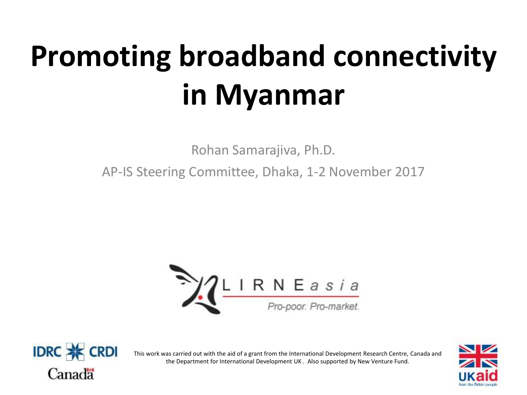# **Promoting broadband connectivity in Myanmar**

Rohan Samarajiva, Ph.D.

AP-IS Steering Committee, Dhaka, 1-2 November 2017





This work was carried out with the aid of a grant from the International Development Research Centre, Canada and the Department for International Development UK . Also supported by New Venture Fund.

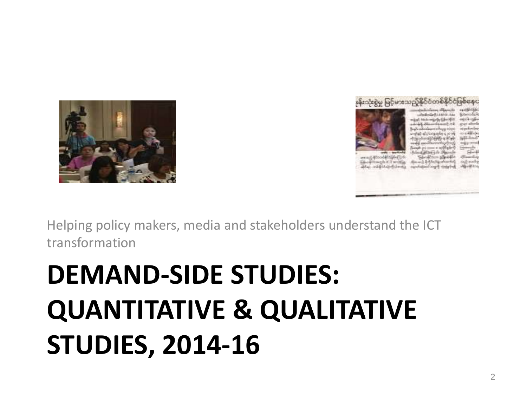# **DEMAND-SIDE STUDIES: QUANTITATIVE & QUALITATIVE STUDIES, 2014-16**

Helping policy makers, media and stakeholders understand the ICT transformation



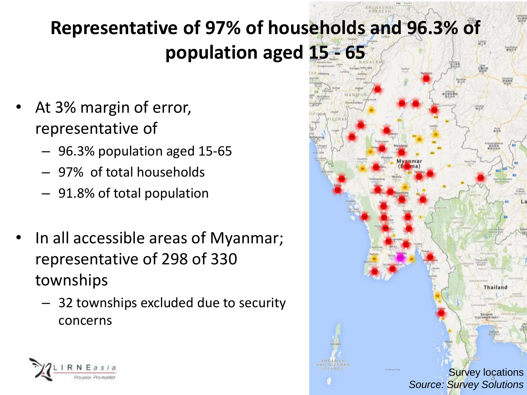### **Representative of 97% of households and 96.3% of population aged 15 - 65**

- At 3% margin of error, representative of
	- 96.3% population aged 15-65
	- 97% of total households
	- 91.8% of total population
- In all accessible areas of Myanmar; representative of 298 of 330 townships
	- 32 townships excluded due to security concerns



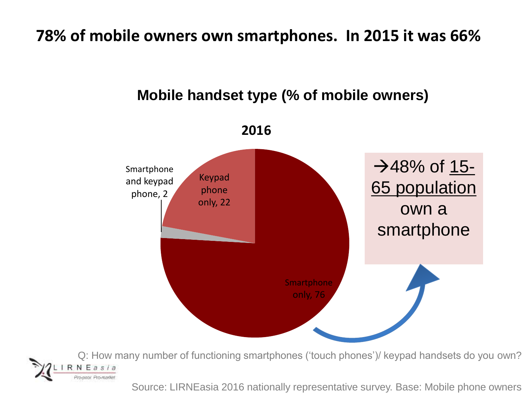#### **78% of mobile owners own smartphones. In 2015 it was 66%**

#### **Smartphone** only, 76 Smartphone and keypad phone, 2 Keypad phone only, 22 **2016 Mobile handset type (% of mobile owners)**  $-$  48% of 15-65 population own a smartphone

Q: How many number of functioning smartphones ('touch phones')/ keypad handsets do you own?

Source: LIRNEasia 2016 nationally representative survey. Base: Mobile phone owners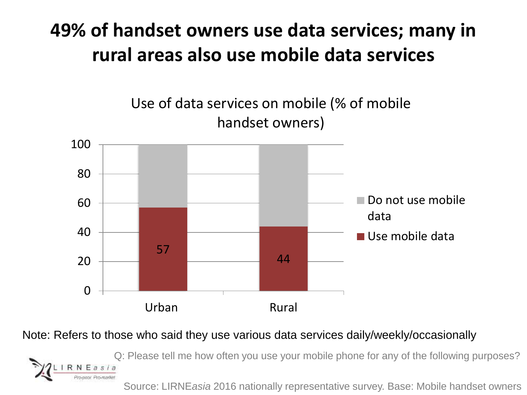### **49% of handset owners use data services; many in rural areas also use mobile data services**



#### Note: Refers to those who said they use various data services daily/weekly/occasionally

Q: Please tell me how often you use your mobile phone for any of the following purposes?

Source: LIRNE*asia* 2016 nationally representative survey. Base: Mobile handset owners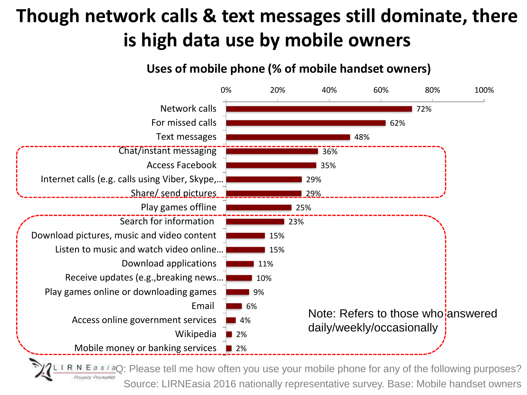### **Though network calls & text messages still dominate, there is high data use by mobile owners**

#### **Uses of mobile phone (% of mobile handset owners)**



**FaQ:** Please tell me how often you use your mobile phone for any of the following purposes? Source: LIRNEasia 2016 nationally representative survey. Base: Mobile handset owners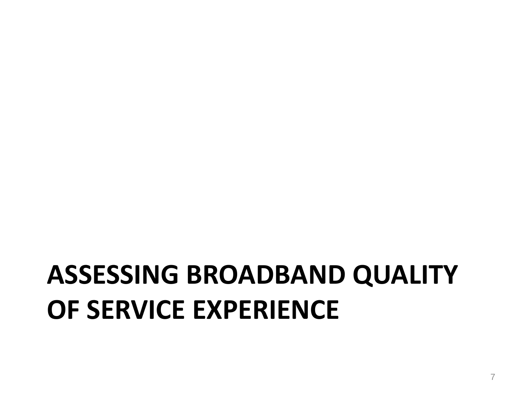## **ASSESSING BROADBAND QUALITY OF SERVICE EXPERIENCE**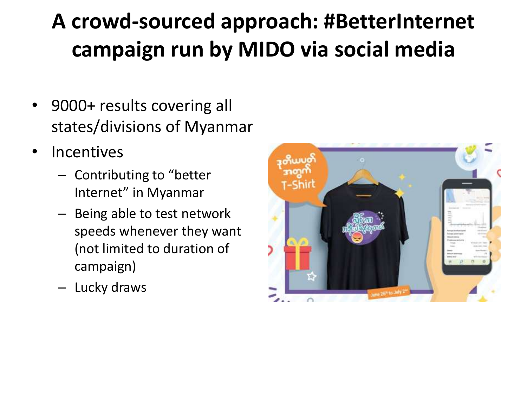## **A crowd-sourced approach: #BetterInternet campaign run by MIDO via social media**

- 9000+ results covering all states/divisions of Myanmar
- Incentives
	- Contributing to "better Internet" in Myanmar
	- Being able to test network speeds whenever they want (not limited to duration of campaign)
	- Lucky draws

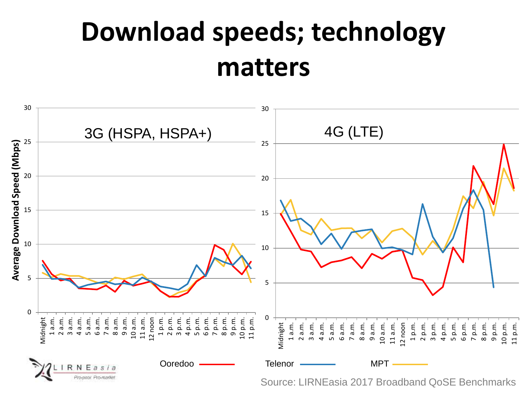## **Download speeds; technology matters**

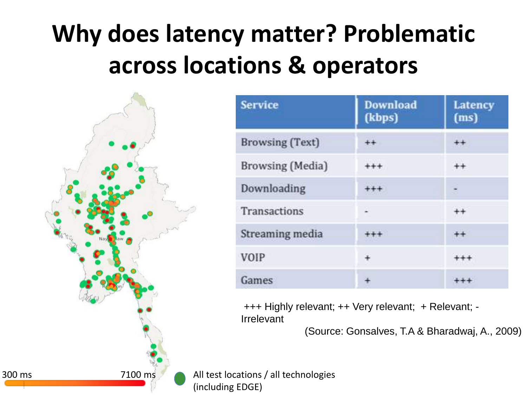## **Why does latency matter? Problematic across locations & operators**

300 ms 7100 ms 7100 ms All test locations / all technologies

| <b>Service</b>          | <b>Download</b><br>(kbps) | <b>Latency</b><br>(ms) |
|-------------------------|---------------------------|------------------------|
| <b>Browsing (Text)</b>  | $^{\rm ++}$               |                        |
| <b>Browsing</b> (Media) |                           |                        |
| Downloading             |                           |                        |
| <b>Transactions</b>     | -                         |                        |
| Streaming media         |                           |                        |
| <b>VOIP</b>             | ¥                         |                        |
| Games                   |                           |                        |

+++ Highly relevant; ++ Very relevant; + Relevant; - Irrelevant

(Source: Gonsalves, T.A & Bharadwaj, A., 2009)

(including EDGE)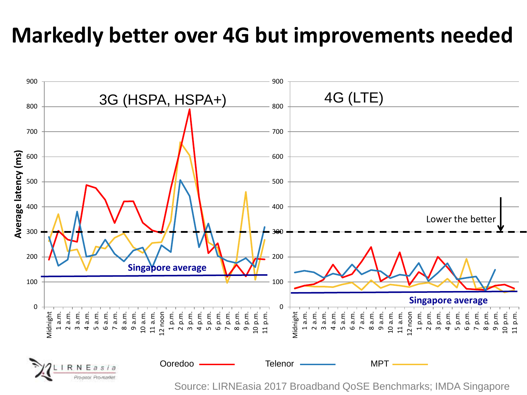### **Markedly better over 4G but improvements needed**



Source: LIRNEasia 2017 Broadband QoSE Benchmarks; IMDA Singapore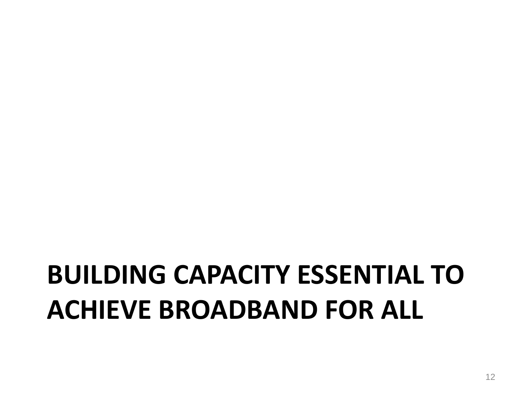## **BUILDING CAPACITY ESSENTIAL TO ACHIEVE BROADBAND FOR ALL**